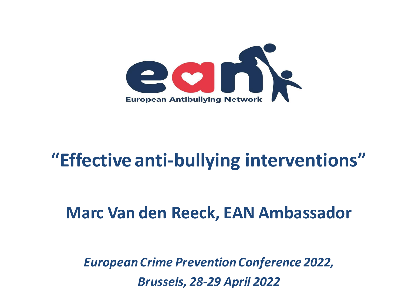

### **"Effective anti-bullying interventions"**

### **Marc Van den Reeck, EAN Ambassador**

*European Crime Prevention Conference 2022, Brussels, 28-29 April 2022*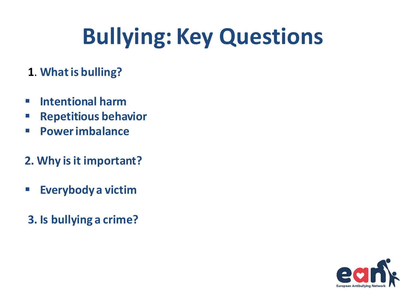# **Bullying: Key Questions**

- **1**. **Whatis bulling?**
- **Intentional harm**
- **Repetitious behavior**
- **Powerimbalance**
- **2. Why isit important?**
- **Everybody a victim**
- **3. Is bullying a crime?**

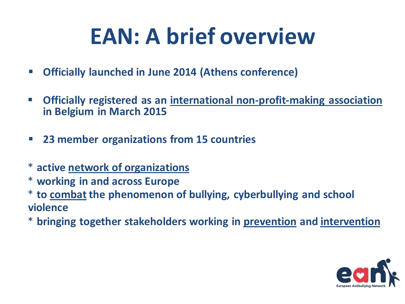# **EAN: A brief overview**

- **Officially launched in June 2014 (Athens conference)**
- **Officially registered as an international non-profit-making association in Belgium in March 2015**
- **23 member organizations from 15 countries**
- \* **active network of organizations**
- \* **working in and across Europe**
- \* **to combat the phenomenon of bullying, cyberbullying and school violence**
- \* **bringing together stakeholders working in prevention and intervention**

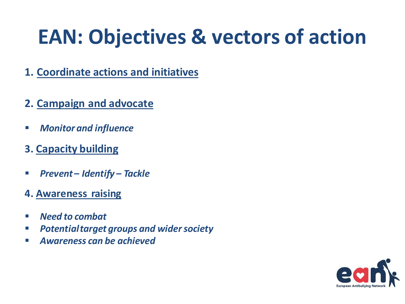## **EAN: Objectives & vectors of action**

- **1. Coordinate actions and initiatives**
- **2. Campaign and advocate**
- *Monitorand influence*
- **3. Capacity building**
- *Prevent – Identify – Tackle*
- **4. Awareness raising**
- *Need to combat*
- *Potentialtarget groups and widersociety*
- *Awareness can be achieved*

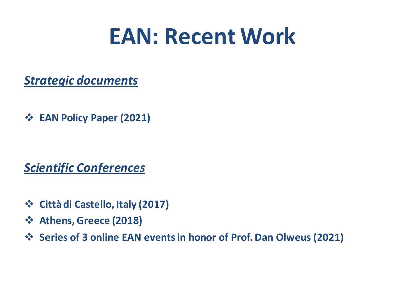## **EAN: Recent Work**

*Strategic documents*

**EAN Policy Paper (2021)**

*Scientific Conferences*

- **Città di Castello, Italy (2017)**
- **Athens, Greece (2018)**
- **Series of 3 online EAN eventsin honor of Prof. Dan Olweus (2021)**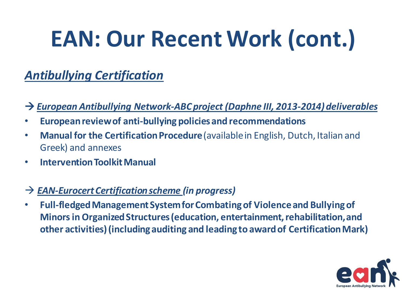# **EAN: Our Recent Work (cont.)**

#### *Antibullying Certification*

#### → *European Antibullying Network-ABC project (Daphne III, 2013-2014) deliverables*

- **Europeanreviewof anti-bullying policies and recommendations**
- Manual for the Certification Procedure (available in English, Dutch, Italian and Greek) and annexes
- **InterventionToolkitManual**

#### *EAN-EurocertCertificationscheme (in progress)*

• **Full-fledged Management System for Combating of Violence and Bullying of Minors in Organized Structures (education, entertainment, rehabilitation, and other activities)(including auditing and leading to awardof CertificationMark)**

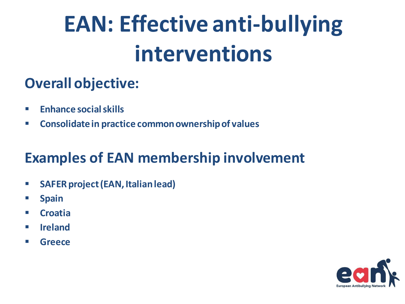# **EAN: Effective anti-bullying interventions**

### **Overall objective:**

- **Enhance socialskills**
- **Consolidatein practice commonownershipof values**

### **Examples of EAN membership involvement**

- **SAFERproject(EAN, Italianlead)**
- **Spain**
- **Croatia**
- **Ireland**
- **Greece**